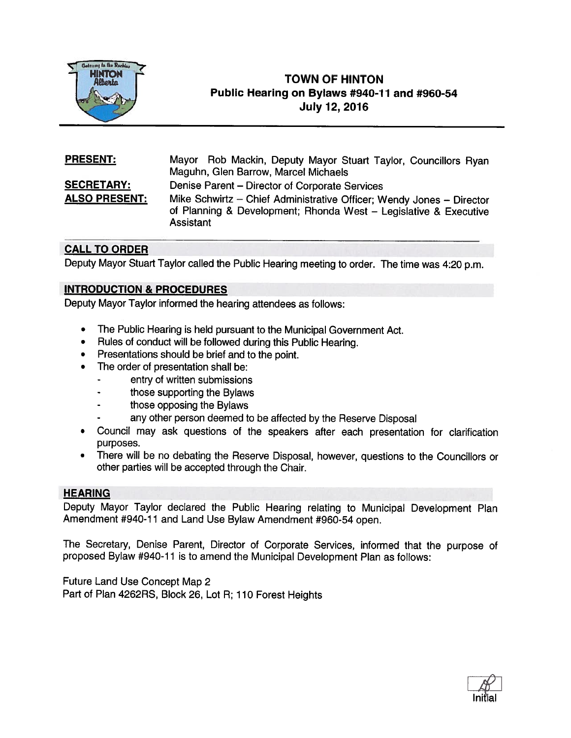

# HNTON F TOWN OF HINTON Public Hearing on Bylaws #940-11 and #960-54 July 12, 2016

## PRESENT: Mayor Rob Mackin, Deputy Mayor Stuart Taylor, Councillors Ryan Maguhn, Glen Barrow, Marcel Michaels SECRETARY: Denise Parent — Director of Corporate Services ALSO PRESENT: Mike Schwirtz - Chief Administrative Officer; Wendy Jones - Director of Planning & Development; Rhonda West — Legislative & Executive **Assistant**

## CALL TO ORDER

Deputy Mayor Stuart Taylor called the Public Hearing meeting to order. The time was 4:20 p.m.

#### INTRODUCTION & PROCEDURES

Deputy Mayor Taylor informed the hearing attendees as follows:

- •The Public Hearing is held pursuant to the Municipal Government Act.
- •Rules of conduct will be followed during this Public Hearing.
- •Presentations should be brief and to the point.
- The order of presentation shall be:
	- entry of written submissions
	- those supporting the Bylaws
	- those opposing the Bylaws
	- any other person deemed to be affected by the Reserve Disposal
- • Council may ask questions of the speakers after each presentation for clarification purposes.
- • There will be no debating the Reserve Disposal, however, questions to the Councillors or other parties will be accepted through the Chair.

#### **HEARING**

Deputy Mayor Taylor declared the Public Hearing relating to Municipal Development Plan Amendment #940-11 and Land Use Bylaw Amendment #960-54 open.

The Secretary, Denise Parent, Director of Corporate Services, informed that the purpose of proposed Bylaw #940-11 is to amend the Municipal Development Plan as follows:

Future Land Use Concept Map 2 Part of Plan 4262RS, Block 26, Lot A; 110 Forest Heights

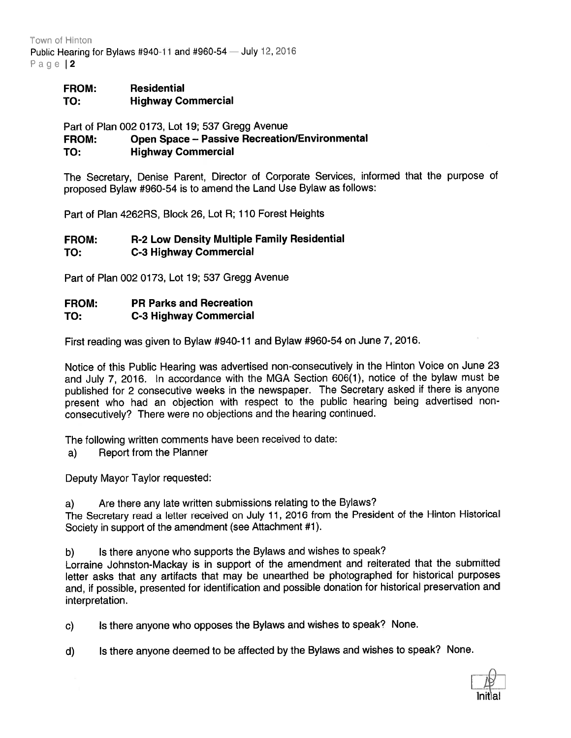Town of Hinton Public Hearing for Bylaws #940-11 and #960-54  $-$  July 12, 2016 Page 12

## FROM: Residential TO: Highway Commercial

Part of Plan 002 0173, Lot 19; 537 Gregg Avenue FROM: Open Space — Passive Recreation/Environmental TO: Highway Commercial

The Secretary, Denise Parent, Director of Corporate Services, informed that the purpose of propose<sup>d</sup> Bylaw #960-54 is to amend the Land Use Bylaw as follows:

Part of Plan 4262RS, Block 26, Lot R; 110 Forest Heights

## FROM: R-2 Low Density Multiple Family Residential TO: C-3 Highway Commercial

Part of Plan 002 0173, Lot 19; 537 Gregg Avenue

# FROM: PR Parks and Recreation

#### TO: C-3 Highway Commercial

First reading was <sup>g</sup>iven to Bylaw #940-11 and Bylaw #960-54 on June 7, 2016.

Notice of this Public Hearing was advertised non-consecutively in the Hinton Voice on June <sup>23</sup> and July 7, 2016. In accordance with the MGA Section 606(1), notice of the bylaw must be published for <sup>2</sup> consecutive weeks in the newspaper. The Secretary asked if there is anyone presen<sup>t</sup> who had an objection with respec<sup>t</sup> to the public hearing being advertised non consecutively? There were no objections and the hearing continued.

The following written comments have been received to date:

a) Report from the Planner

Deputy Mayor Taylor requested:

a) Are there any late written submissions relating to the Bylaws?

The Secretary read <sup>a</sup> letter received on July 11, <sup>2016</sup> from the President of the Hinton Historical Society in support of the amendment (see Attachment #1).

b) Is there anyone who supports the Bylaws and wishes to speak?

Lorraine Johnston-Mackay is in suppor<sup>t</sup> of the amendment and reiterated that the submitted letter asks that any artifacts that may be unearthed be <sup>p</sup>hotographed for historical purposes and, if possible, presented for identification and possible donation for historical preservation and interpretation.

c) is there anyone who opposes the Bylaws and wishes to speak? None.

d) Is there anyone deemed to be affected by the Bylaws and wishes to speak? None.

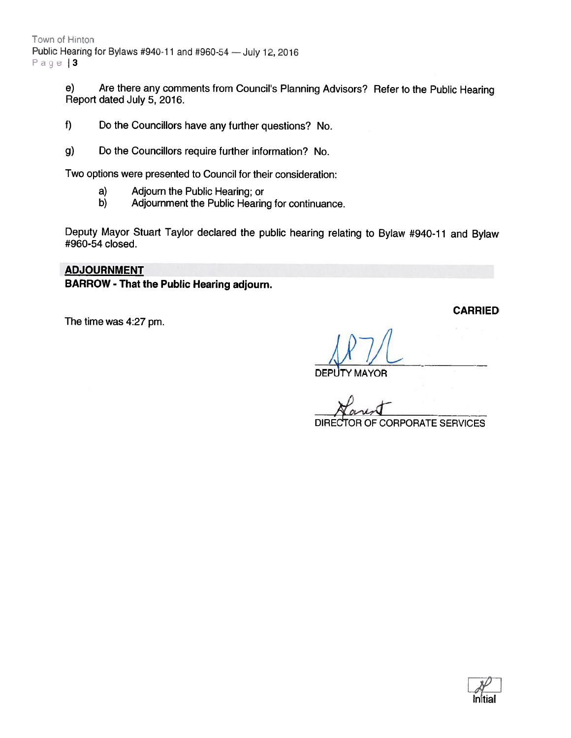e) Are there any comments from Council's Planning Advisors? Refer to the Public Hearing Report dated July 5, 2016.

- f) Do the Councillors have any further questions? No.
- g) Do the Councillors require further information? No.

Two options were presented to Council for their consideration:

- a) Adjourn the Public Hearing; or<br>b) Adjournment the Public Hearin
- Adjournment the Public Hearing for continuance.

Deputy Mayor Stuart Taylor declared the public hearing relating to Bylaw #940-11 and Bylaw #960-54 closed.

#### ADJOURNMENT

BARROW - That the Public Hearing adjourn.

The time was 4:27 pm.

CARRIED

DEPUTY MAYOR

CORPORATE SERVICES

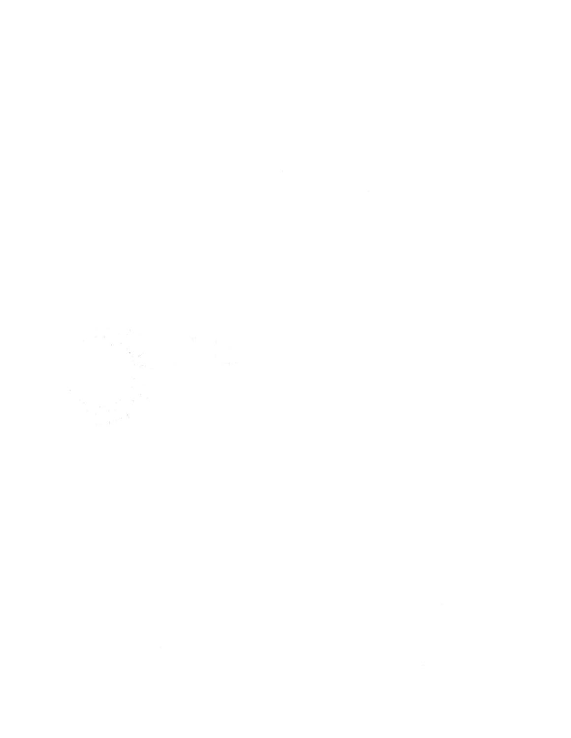$\begin{aligned} \mathcal{L}_{\mathcal{A}} &= \frac{1}{2} \sum_{\mathbf{a}} \frac{1}{\mathcal{A}} \sum_{\mathbf{a}} \frac{1}{\mathcal{A}} \mathcal{A}^{\dagger} \mathcal{A}^{\dagger} \mathcal{A}^{\dagger} \mathcal{A}^{\dagger} \mathcal{A}^{\dagger} \mathcal{A}^{\dagger} \mathcal{A}^{\dagger} \mathcal{A}^{\dagger} \mathcal{A}^{\dagger} \mathcal{A}^{\dagger} \mathcal{A}^{\dagger} \mathcal{A}^{\dagger} \mathcal{A}^{\dagger} \mathcal{A}^{\dagger} \$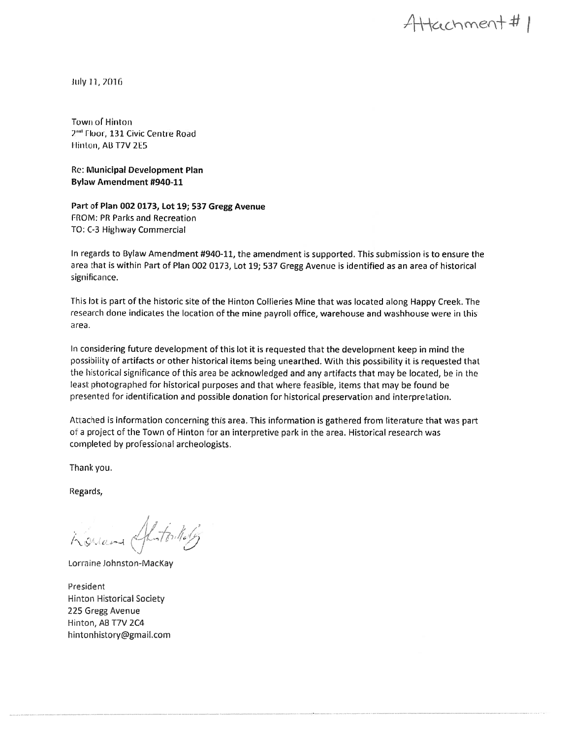July 11, 2016

Town of Hinton 2<sup>nd</sup> Floor, 131 Civic Centre Road Hinton, AB T7V 2E5

Re: Municipal Development Plan **Bylaw Amendment #940-11** 

Part of Plan 002 0173, Lot 19; 537 Gregg Avenue FROM: PR Parks and Recreation TO: C-3 Highway Commercial

In regards to Bylaw Amendment #940-11, the amendment is supported. This submission is to ensure the area that is within Part of Plan 002 0173, Lot 19; 537 Gregg Avenue is identified as an area of historical significance.

This lot is part of the historic site of the Hinton Collieries Mine that was located along Happy Creek. The research done indicates the location of the mine payroll office, warehouse and washhouse were in this area.

In considering future development of this lot it is requested that the development keep in mind the possibility of artifacts or other historical items being unearthed. With this possibility it is requested that the historical significance of this area be acknowledged and any artifacts that may be located, be in the least photographed for historical purposes and that where feasible, items that may be found be presented for identification and possible donation for historical preservation and interpretation.

Attached is information concerning this area. This information is gathered from literature that was part of a project of the Town of Hinton for an interpretive park in the area. Historical research was completed by professional archeologists.

Thank you.

Regards,

Koram Alatortof

Lorraine Johnston-MacKay

President **Hinton Historical Society** 225 Gregg Avenue Hinton, AB T7V 2C4 hintonhistory@gmail.com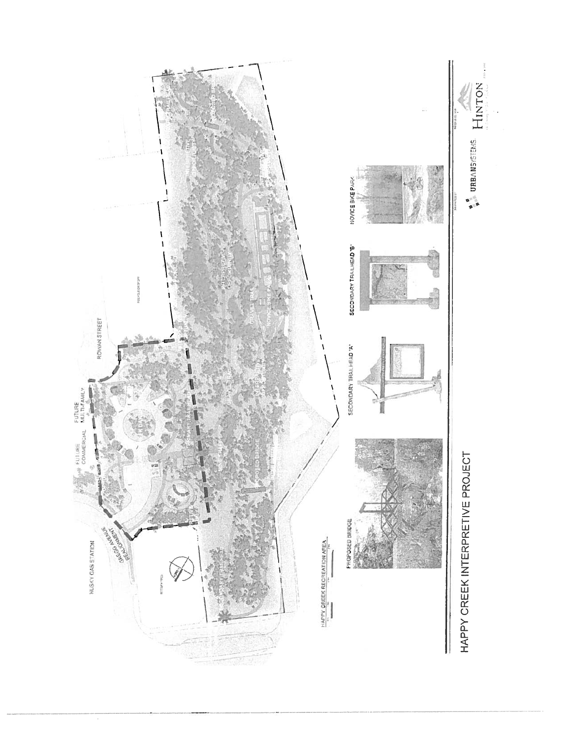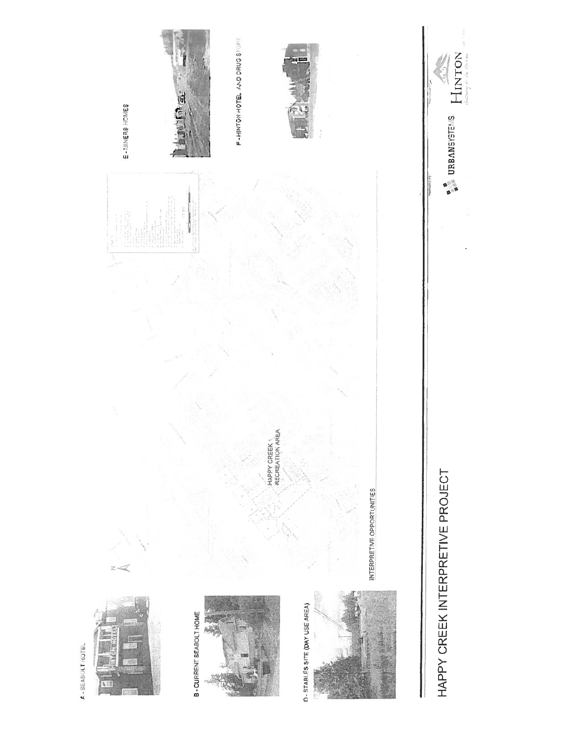

HAPPY CREEK INTERPRETIVE PROJECT

HINTON

 $\frac{1}{p}$  URBANSYSTEMS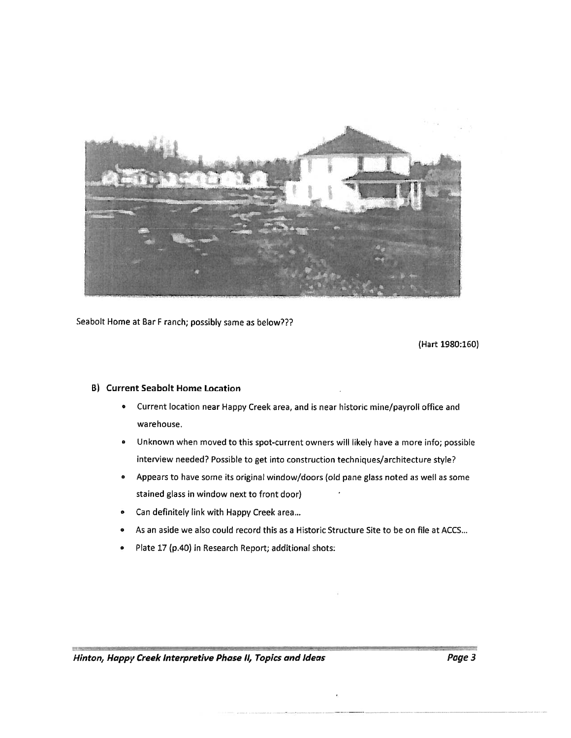

Seabolt Home at Bar <sup>F</sup> ranch; possibly same as below???

(Hart 1980:160)

#### B) Current Seabolt Home Location

- • Current location near Happy Creek area, and is near historic mine/payroll office and warehouse.
- Unknown when moved to this spot-current owners will likely have <sup>a</sup> more info; possible  $\bullet$ interview needed? Possible to ge<sup>t</sup> into construction techniques/architecture style?
- Appears to have some its original window/doors (old pane glass noted as well as some  $\bullet$ stained glass in window next to front door)
- **•** Can definitely link with Happy Creek area...
- •As an aside we also could record this as <sup>a</sup> Historic Structure Site to be on file at ACCS...
- •Plate 17 (p.40) in Research Report; additional shots:

Hinton, Happy Creek Interpretive Phase II, Topics and Ideas **Page 3** Page 3